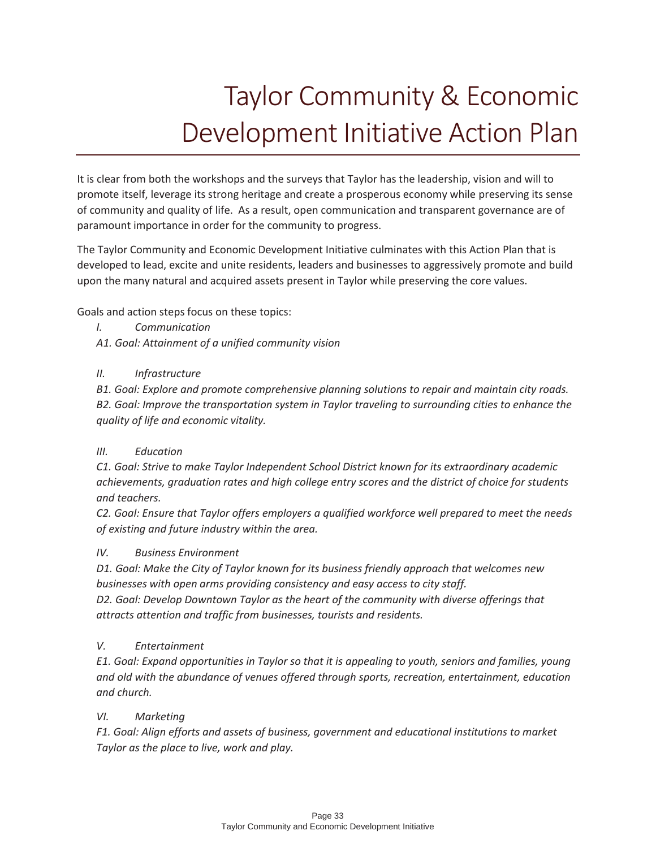# Taylor Community & Economic Development Initiative Action Plan

It is clear from both the workshops and the surveys that Taylor has the leadership, vision and will to promote itself, leverage its strong heritage and create a prosperous economy while preserving its sense of community and quality of life. As a result, open communication and transparent governance are of paramount importance in order for the community to progress.

The Taylor Community and Economic Development Initiative culminates with this Action Plan that is developed to lead, excite and unite residents, leaders and businesses to aggressively promote and build upon the many natural and acquired assets present in Taylor while preserving the core values.

Goals and action steps focus on these topics:

- *I. Communication*
- *A1. Goal: Attainment of a unified community vision*

#### *II. Infrastructure*

*B1. Goal: Explore and promote comprehensive planning solutions to repair and maintain city roads. B2. Goal: Improve the transportation system in Taylor traveling to surrounding cities to enhance the quality of life and economic vitality.* 

#### *III. Education*

*C1. Goal: Strive to make Taylor Independent School District known for its extraordinary academic achievements, graduation rates and high college entry scores and the district of choice for students and teachers.* 

*C2. Goal: Ensure that Taylor offers employers a qualified workforce well prepared to meet the needs of existing and future industry within the area.* 

#### *IV. Business Environment*

*D1. Goal: Make the City of Taylor known for its business friendly approach that welcomes new businesses with open arms providing consistency and easy access to city staff. D2. Goal: Develop Downtown Taylor as the heart of the community with diverse offerings that* 

*attracts attention and traffic from businesses, tourists and residents.* 

#### *V. Entertainment*

*E1. Goal: Expand opportunities in Taylor so that it is appealing to youth, seniors and families, young and old with the abundance of venues offered through sports, recreation, entertainment, education and church.* 

#### *VI. Marketing*

*F1. Goal: Align efforts and assets of business, government and educational institutions to market Taylor as the place to live, work and play.*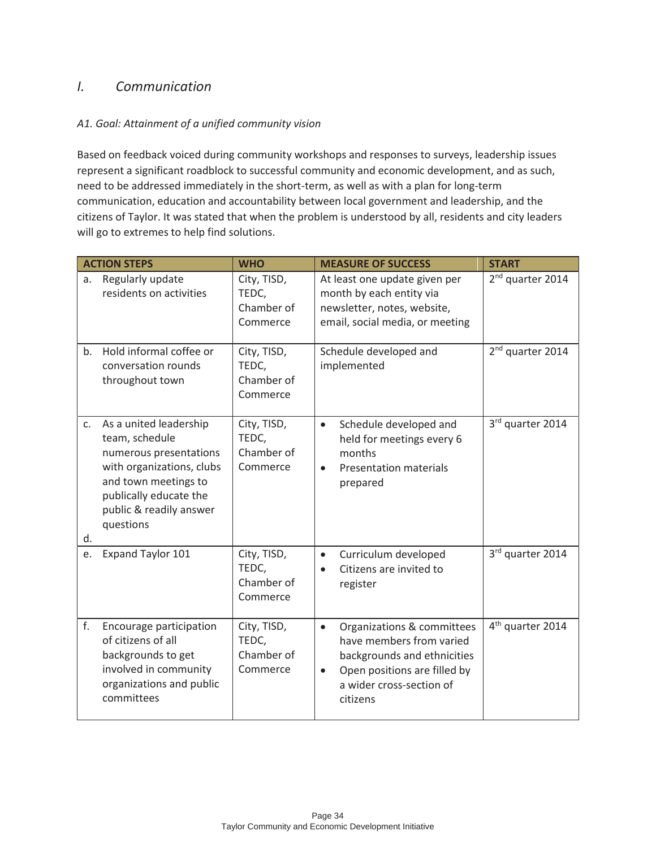## *I. Communication*

#### *A1. Goal: Attainment of a unified community vision*

Based on feedback voiced during community workshops and responses to surveys, leadership issues represent a significant roadblock to successful community and economic development, and as such, need to be addressed immediately in the short-term, as well as with a plan for long-term communication, education and accountability between local government and leadership, and the citizens of Taylor. It was stated that when the problem is understood by all, residents and city leaders will go to extremes to help find solutions.

|                      | <b>ACTION STEPS</b>                                                                                                                                                                       | <b>WHO</b>                                     | <b>MEASURE OF SUCCESS</b>                                                                                                                                                               | <b>START</b>                 |
|----------------------|-------------------------------------------------------------------------------------------------------------------------------------------------------------------------------------------|------------------------------------------------|-----------------------------------------------------------------------------------------------------------------------------------------------------------------------------------------|------------------------------|
| a.                   | Regularly update<br>residents on activities                                                                                                                                               | City, TISD,<br>TEDC,<br>Chamber of<br>Commerce | At least one update given per<br>month by each entity via<br>newsletter, notes, website,<br>email, social media, or meeting                                                             | 2 <sup>nd</sup> quarter 2014 |
| b.                   | Hold informal coffee or<br>conversation rounds<br>throughout town                                                                                                                         | City, TISD,<br>TEDC,<br>Chamber of<br>Commerce | Schedule developed and<br>implemented                                                                                                                                                   | 2 <sup>nd</sup> quarter 2014 |
| C <sub>1</sub><br>d. | As a united leadership<br>team, schedule<br>numerous presentations<br>with organizations, clubs<br>and town meetings to<br>publically educate the<br>public & readily answer<br>questions | City, TISD,<br>TEDC,<br>Chamber of<br>Commerce | Schedule developed and<br>$\bullet$<br>held for meetings every 6<br>months<br><b>Presentation materials</b><br>$\bullet$<br>prepared                                                    | 3rd quarter 2014             |
| e.                   | Expand Taylor 101                                                                                                                                                                         | City, TISD,<br>TEDC,<br>Chamber of<br>Commerce | Curriculum developed<br>$\bullet$<br>Citizens are invited to<br>$\bullet$<br>register                                                                                                   | 3rd quarter 2014             |
| f.                   | Encourage participation<br>of citizens of all<br>backgrounds to get<br>involved in community<br>organizations and public<br>committees                                                    | City, TISD,<br>TEDC,<br>Chamber of<br>Commerce | Organizations & committees<br>$\bullet$<br>have members from varied<br>backgrounds and ethnicities<br>Open positions are filled by<br>$\bullet$<br>a wider cross-section of<br>citizens | 4 <sup>th</sup> quarter 2014 |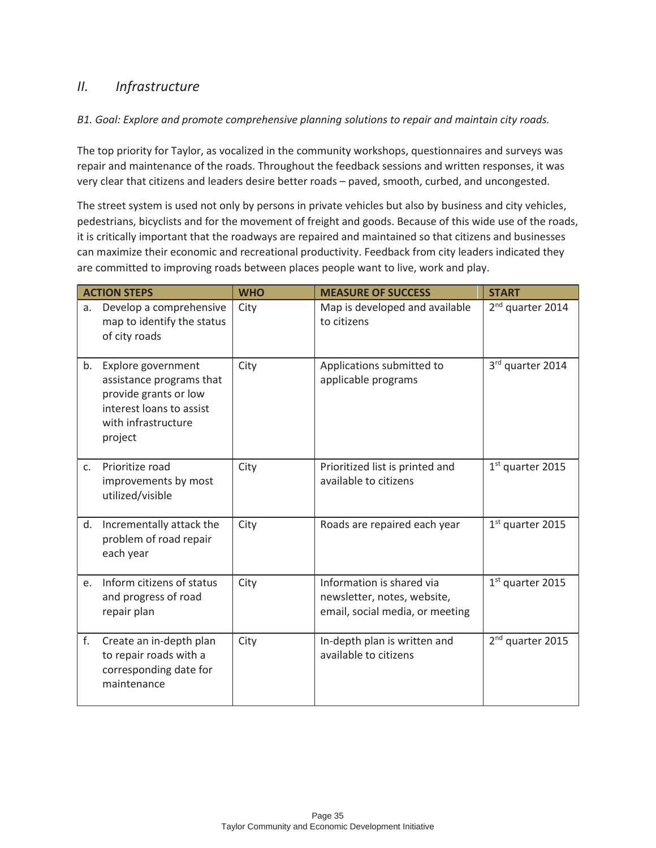## *II. Infrastructure*

#### *B1. Goal: Explore and promote comprehensive planning solutions to repair and maintain city roads.*

The top priority for Taylor, as vocalized in the community workshops, questionnaires and surveys was repair and maintenance of the roads. Throughout the feedback sessions and written responses, it was very clear that citizens and leaders desire better roads – paved, smooth, curbed, and uncongested.

The street system is used not only by persons in private vehicles but also by business and city vehicles, pedestrians, bicyclists and for the movement of freight and goods. Because of this wide use of the roads, it is critically important that the roadways are repaired and maintained so that citizens and businesses can maximize their economic and recreational productivity. Feedback from city leaders indicated they are committed to improving roads between places people want to live, work and play.

|    | <b>ACTION STEPS</b>                                                                                                                   | <b>WHO</b> | <b>MEASURE OF SUCCESS</b>                                                                   | <b>START</b>                 |
|----|---------------------------------------------------------------------------------------------------------------------------------------|------------|---------------------------------------------------------------------------------------------|------------------------------|
| a. | Develop a comprehensive<br>map to identify the status<br>of city roads                                                                | City       | Map is developed and available<br>to citizens                                               | 2 <sup>nd</sup> quarter 2014 |
| b. | Explore government<br>assistance programs that<br>provide grants or low<br>interest loans to assist<br>with infrastructure<br>project | City       | Applications submitted to<br>applicable programs                                            | 3rd quarter 2014             |
| C. | Prioritize road<br>improvements by most<br>utilized/visible                                                                           | City       | Prioritized list is printed and<br>available to citizens                                    | $1st$ quarter 2015           |
| d. | Incrementally attack the<br>problem of road repair<br>each year                                                                       | City       | Roads are repaired each year                                                                | 1st quarter 2015             |
| e. | Inform citizens of status<br>and progress of road<br>repair plan                                                                      | City       | Information is shared via<br>newsletter, notes, website,<br>email, social media, or meeting | 1st quarter 2015             |
| f. | Create an in-depth plan<br>to repair roads with a<br>corresponding date for<br>maintenance                                            | City       | In-depth plan is written and<br>available to citizens                                       | 2 <sup>nd</sup> quarter 2015 |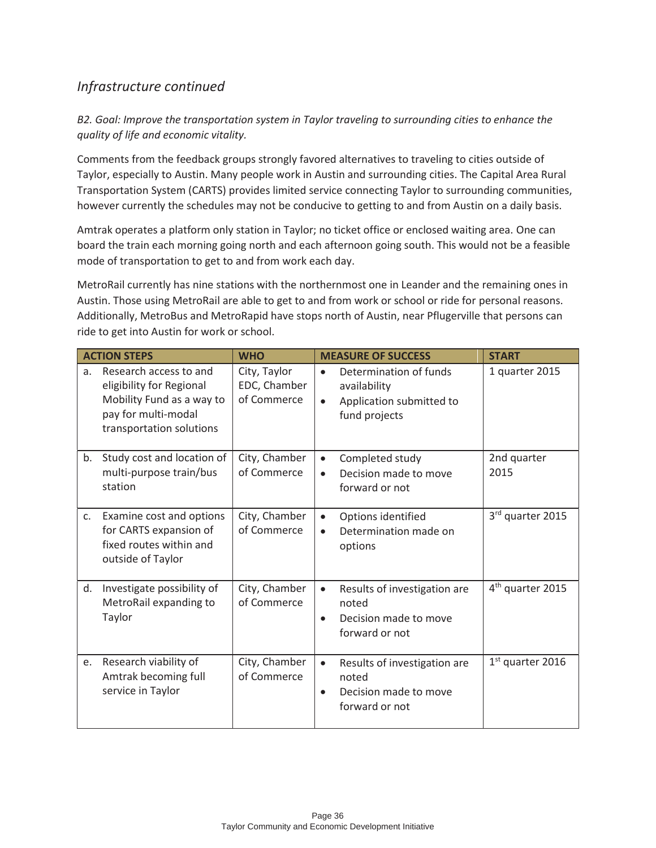## *Infrastructure continued*

*B2. Goal: Improve the transportation system in Taylor traveling to surrounding cities to enhance the quality of life and economic vitality.* 

Comments from the feedback groups strongly favored alternatives to traveling to cities outside of Taylor, especially to Austin. Many people work in Austin and surrounding cities. The Capital Area Rural Transportation System (CARTS) provides limited service connecting Taylor to surrounding communities, however currently the schedules may not be conducive to getting to and from Austin on a daily basis.

Amtrak operates a platform only station in Taylor; no ticket office or enclosed waiting area. One can board the train each morning going north and each afternoon going south. This would not be a feasible mode of transportation to get to and from work each day.

MetroRail currently has nine stations with the northernmost one in Leander and the remaining ones in Austin. Those using MetroRail are able to get to and from work or school or ride for personal reasons. Additionally, MetroBus and MetroRapid have stops north of Austin, near Pflugerville that persons can ride to get into Austin for work or school.

|    | <b>ACTION STEPS</b>                                                                                                                | <b>WHO</b>                                  | <b>MEASURE OF SUCCESS</b>                                                                                     | <b>START</b>                 |
|----|------------------------------------------------------------------------------------------------------------------------------------|---------------------------------------------|---------------------------------------------------------------------------------------------------------------|------------------------------|
| a. | Research access to and<br>eligibility for Regional<br>Mobility Fund as a way to<br>pay for multi-modal<br>transportation solutions | City, Taylor<br>EDC, Chamber<br>of Commerce | Determination of funds<br>$\bullet$<br>availability<br>Application submitted to<br>$\bullet$<br>fund projects | 1 quarter 2015               |
| b. | Study cost and location of<br>multi-purpose train/bus<br>station                                                                   | City, Chamber<br>of Commerce                | Completed study<br>$\bullet$<br>Decision made to move<br>$\bullet$<br>forward or not                          | 2nd quarter<br>2015          |
| C. | Examine cost and options<br>for CARTS expansion of<br>fixed routes within and<br>outside of Taylor                                 | City, Chamber<br>of Commerce                | Options identified<br>$\bullet$<br>Determination made on<br>$\bullet$<br>options                              | 3rd quarter 2015             |
| d. | Investigate possibility of<br>MetroRail expanding to<br>Taylor                                                                     | City, Chamber<br>of Commerce                | Results of investigation are<br>$\bullet$<br>noted<br>Decision made to move<br>$\bullet$<br>forward or not    | 4 <sup>th</sup> quarter 2015 |
| e. | Research viability of<br>Amtrak becoming full<br>service in Taylor                                                                 | City, Chamber<br>of Commerce                | Results of investigation are<br>$\bullet$<br>noted<br>Decision made to move<br>$\bullet$<br>forward or not    | $1st$ quarter 2016           |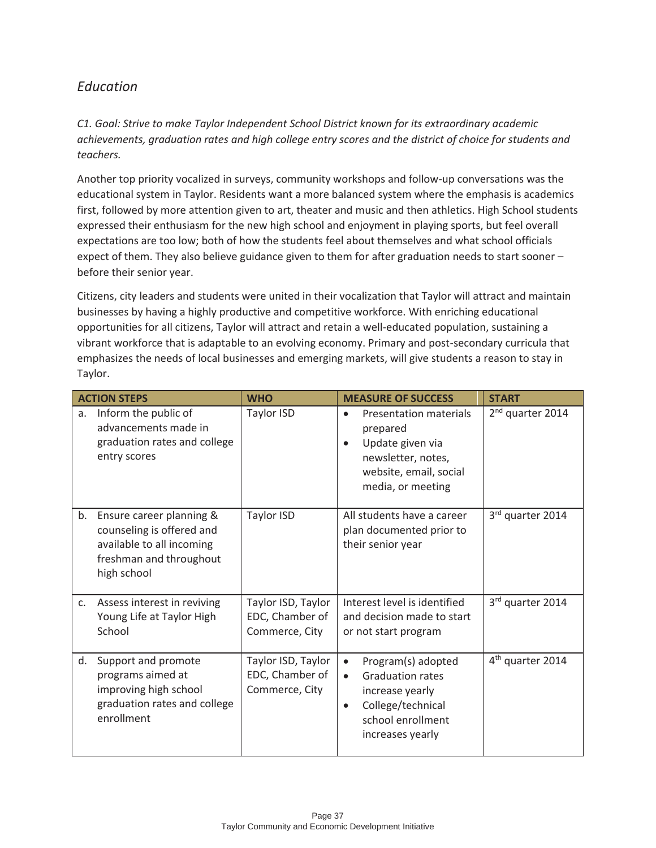## *Education*

*C1. Goal: Strive to make Taylor Independent School District known for its extraordinary academic achievements, graduation rates and high college entry scores and the district of choice for students and teachers.* 

Another top priority vocalized in surveys, community workshops and follow-up conversations was the educational system in Taylor. Residents want a more balanced system where the emphasis is academics first, followed by more attention given to art, theater and music and then athletics. High School students expressed their enthusiasm for the new high school and enjoyment in playing sports, but feel overall expectations are too low; both of how the students feel about themselves and what school officials expect of them. They also believe guidance given to them for after graduation needs to start sooner – before their senior year.

Citizens, city leaders and students were united in their vocalization that Taylor will attract and maintain businesses by having a highly productive and competitive workforce. With enriching educational opportunities for all citizens, Taylor will attract and retain a well-educated population, sustaining a vibrant workforce that is adaptable to an evolving economy. Primary and post-secondary curricula that emphasizes the needs of local businesses and emerging markets, will give students a reason to stay in Taylor.

|                | <b>ACTION STEPS</b>                                                                                                          | <b>WHO</b>                                              | <b>MEASURE OF SUCCESS</b>                                                                                                                                             | <b>START</b>                 |
|----------------|------------------------------------------------------------------------------------------------------------------------------|---------------------------------------------------------|-----------------------------------------------------------------------------------------------------------------------------------------------------------------------|------------------------------|
| a.             | Inform the public of<br>advancements made in<br>graduation rates and college<br>entry scores                                 | Taylor ISD                                              | Presentation materials<br>$\bullet$<br>prepared<br>Update given via<br>$\bullet$<br>newsletter, notes,<br>website, email, social<br>media, or meeting                 | 2 <sup>nd</sup> quarter 2014 |
| b.             | Ensure career planning &<br>counseling is offered and<br>available to all incoming<br>freshman and throughout<br>high school | Taylor ISD                                              | All students have a career<br>plan documented prior to<br>their senior year                                                                                           | 3rd quarter 2014             |
| C <sub>1</sub> | Assess interest in reviving<br>Young Life at Taylor High<br>School                                                           | Taylor ISD, Taylor<br>EDC, Chamber of<br>Commerce, City | Interest level is identified<br>and decision made to start<br>or not start program                                                                                    | 3rd quarter 2014             |
| d.             | Support and promote<br>programs aimed at<br>improving high school<br>graduation rates and college<br>enrollment              | Taylor ISD, Taylor<br>EDC, Chamber of<br>Commerce, City | Program(s) adopted<br>$\bullet$<br><b>Graduation rates</b><br>$\bullet$<br>increase yearly<br>College/technical<br>$\bullet$<br>school enrollment<br>increases yearly | 4 <sup>th</sup> quarter 2014 |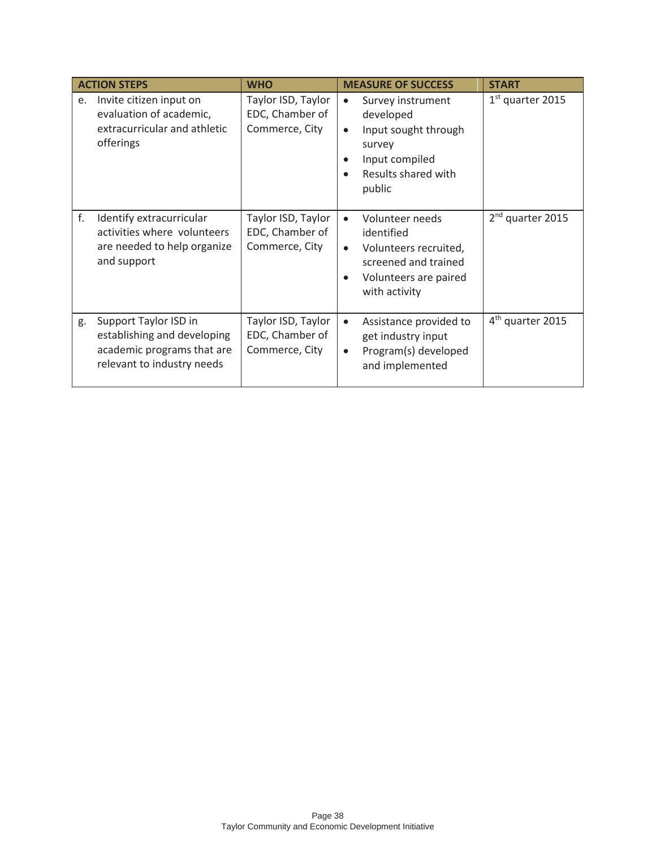| <b>ACTION STEPS</b> |                                                                                                                  | <b>WHO</b>                                              | <b>MEASURE OF SUCCESS</b><br><b>START</b>                                                                                                                                          |
|---------------------|------------------------------------------------------------------------------------------------------------------|---------------------------------------------------------|------------------------------------------------------------------------------------------------------------------------------------------------------------------------------------|
| e.                  | Invite citizen input on<br>evaluation of academic,<br>extracurricular and athletic<br>offerings                  | Taylor ISD, Taylor<br>EDC, Chamber of<br>Commerce, City | $1st$ quarter 2015<br>Survey instrument<br>$\bullet$<br>developed<br>Input sought through<br>$\bullet$<br>survey<br>Input compiled<br>Results shared with<br>public                |
| f.                  | Identify extracurricular<br>activities where volunteers<br>are needed to help organize<br>and support            | Taylor ISD, Taylor<br>EDC, Chamber of<br>Commerce, City | 2 <sup>nd</sup> quarter 2015<br>Volunteer needs<br>$\bullet$<br>identified<br>Volunteers recruited,<br>$\bullet$<br>screened and trained<br>Volunteers are paired<br>with activity |
| g.                  | Support Taylor ISD in<br>establishing and developing<br>academic programs that are<br>relevant to industry needs | Taylor ISD, Taylor<br>EDC, Chamber of<br>Commerce, City | $4th$ quarter 2015<br>Assistance provided to<br>$\bullet$<br>get industry input<br>Program(s) developed<br>$\bullet$<br>and implemented                                            |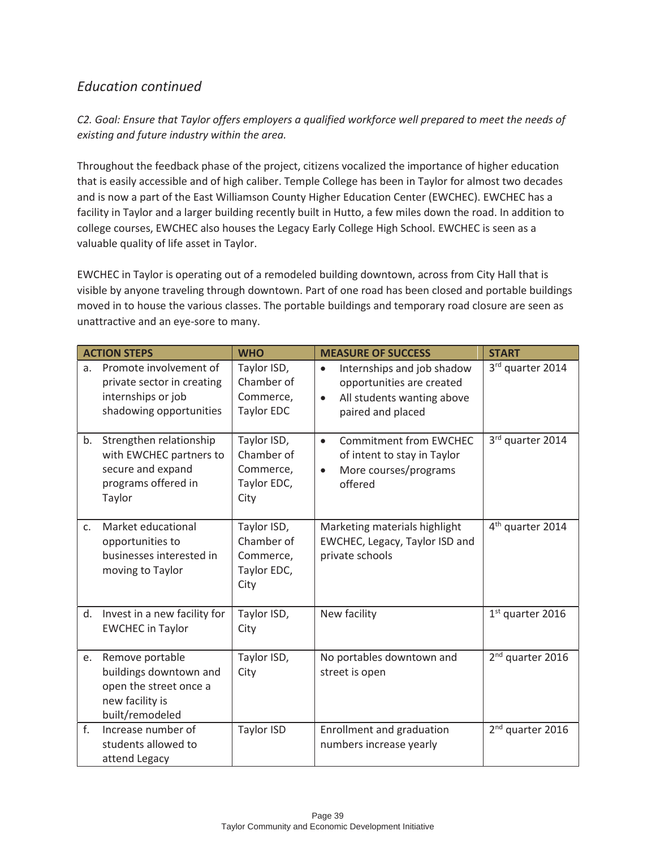## *Education continued*

*C2. Goal: Ensure that Taylor offers employers a qualified workforce well prepared to meet the needs of existing and future industry within the area.* 

Throughout the feedback phase of the project, citizens vocalized the importance of higher education that is easily accessible and of high caliber. Temple College has been in Taylor for almost two decades and is now a part of the East Williamson County Higher Education Center (EWCHEC). EWCHEC has a facility in Taylor and a larger building recently built in Hutto, a few miles down the road. In addition to college courses, EWCHEC also houses the Legacy Early College High School. EWCHEC is seen as a valuable quality of life asset in Taylor.

EWCHEC in Taylor is operating out of a remodeled building downtown, across from City Hall that is visible by anyone traveling through downtown. Part of one road has been closed and portable buildings moved in to house the various classes. The portable buildings and temporary road closure are seen as unattractive and an eye-sore to many.

|                | <b>ACTION STEPS</b>                                                                                       | <b>WHO</b>                                                    | <b>MEASURE OF SUCCESS</b>                                                                                                            | <b>START</b>                 |
|----------------|-----------------------------------------------------------------------------------------------------------|---------------------------------------------------------------|--------------------------------------------------------------------------------------------------------------------------------------|------------------------------|
| a.             | Promote involvement of<br>private sector in creating<br>internships or job<br>shadowing opportunities     | Taylor ISD,<br>Chamber of<br>Commerce,<br><b>Taylor EDC</b>   | Internships and job shadow<br>$\bullet$<br>opportunities are created<br>All students wanting above<br>$\bullet$<br>paired and placed | 3rd quarter 2014             |
| b.             | Strengthen relationship<br>with EWCHEC partners to<br>secure and expand<br>programs offered in<br>Taylor  | Taylor ISD,<br>Chamber of<br>Commerce,<br>Taylor EDC,<br>City | <b>Commitment from EWCHEC</b><br>$\bullet$<br>of intent to stay in Taylor<br>More courses/programs<br>$\bullet$<br>offered           | 3rd quarter 2014             |
| C <sub>1</sub> | Market educational<br>opportunities to<br>businesses interested in<br>moving to Taylor                    | Taylor ISD,<br>Chamber of<br>Commerce,<br>Taylor EDC,<br>City | Marketing materials highlight<br>EWCHEC, Legacy, Taylor ISD and<br>private schools                                                   | 4 <sup>th</sup> quarter 2014 |
| d.             | Invest in a new facility for<br><b>EWCHEC in Taylor</b>                                                   | Taylor ISD,<br>City                                           | New facility                                                                                                                         | $1st$ quarter 2016           |
| e.             | Remove portable<br>buildings downtown and<br>open the street once a<br>new facility is<br>built/remodeled | Taylor ISD,<br>City                                           | No portables downtown and<br>street is open                                                                                          | 2 <sup>nd</sup> quarter 2016 |
| f <sub>r</sub> | Increase number of<br>students allowed to<br>attend Legacy                                                | Taylor ISD                                                    | Enrollment and graduation<br>numbers increase yearly                                                                                 | 2 <sup>nd</sup> quarter 2016 |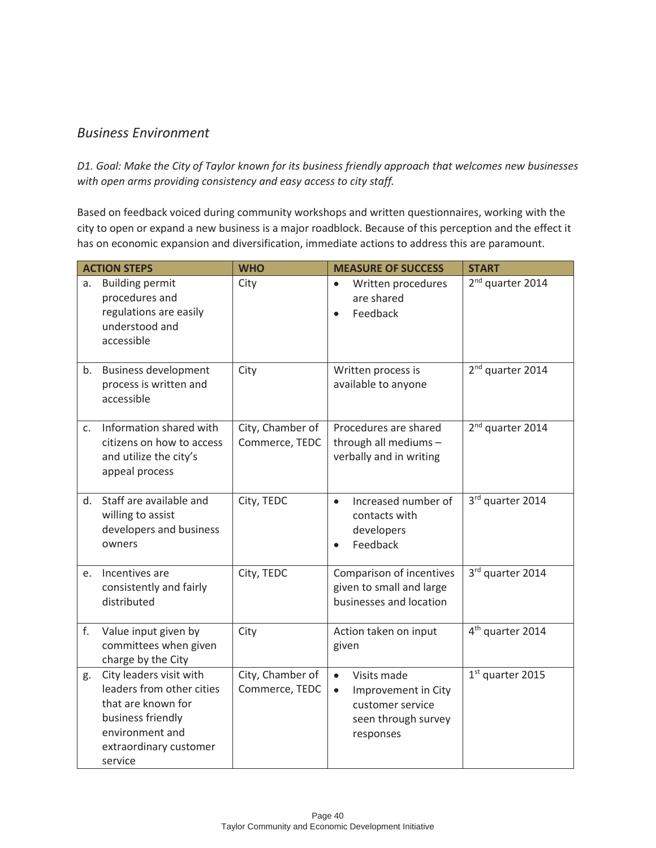### *Business Environment*

*D1. Goal: Make the City of Taylor known for its business friendly approach that welcomes new businesses with open arms providing consistency and easy access to city staff.* 

Based on feedback voiced during community workshops and written questionnaires, working with the city to open or expand a new business is a major roadblock. Because of this perception and the effect it has on economic expansion and diversification, immediate actions to address this are paramount.

|                | <b>ACTION STEPS</b>                                                                                                                                     | <b>WHO</b>                         | <b>MEASURE OF SUCCESS</b>                                                                                            | <b>START</b>                 |
|----------------|---------------------------------------------------------------------------------------------------------------------------------------------------------|------------------------------------|----------------------------------------------------------------------------------------------------------------------|------------------------------|
| a.             | <b>Building permit</b><br>procedures and<br>regulations are easily<br>understood and<br>accessible                                                      | City                               | Written procedures<br>$\bullet$<br>are shared<br>Feedback<br>$\bullet$                                               | 2 <sup>nd</sup> quarter 2014 |
| b.             | <b>Business development</b><br>process is written and<br>accessible                                                                                     | City                               | Written process is<br>available to anyone                                                                            | 2 <sup>nd</sup> quarter 2014 |
| C <sub>1</sub> | Information shared with<br>citizens on how to access<br>and utilize the city's<br>appeal process                                                        | City, Chamber of<br>Commerce, TEDC | Procedures are shared<br>through all mediums -<br>verbally and in writing                                            | 2 <sup>nd</sup> quarter 2014 |
| d.             | Staff are available and<br>willing to assist<br>developers and business<br>owners                                                                       | City, TEDC                         | Increased number of<br>$\bullet$<br>contacts with<br>developers<br>Feedback                                          | 3rd quarter 2014             |
| e.             | Incentives are<br>consistently and fairly<br>distributed                                                                                                | City, TEDC                         | Comparison of incentives<br>given to small and large<br>businesses and location                                      | 3rd quarter 2014             |
| f.             | Value input given by<br>committees when given<br>charge by the City                                                                                     | City                               | Action taken on input<br>given                                                                                       | 4 <sup>th</sup> quarter 2014 |
| g.             | City leaders visit with<br>leaders from other cities<br>that are known for<br>business friendly<br>environment and<br>extraordinary customer<br>service | City, Chamber of<br>Commerce, TEDC | Visits made<br>$\bullet$<br>Improvement in City<br>$\bullet$<br>customer service<br>seen through survey<br>responses | $1st$ quarter 2015           |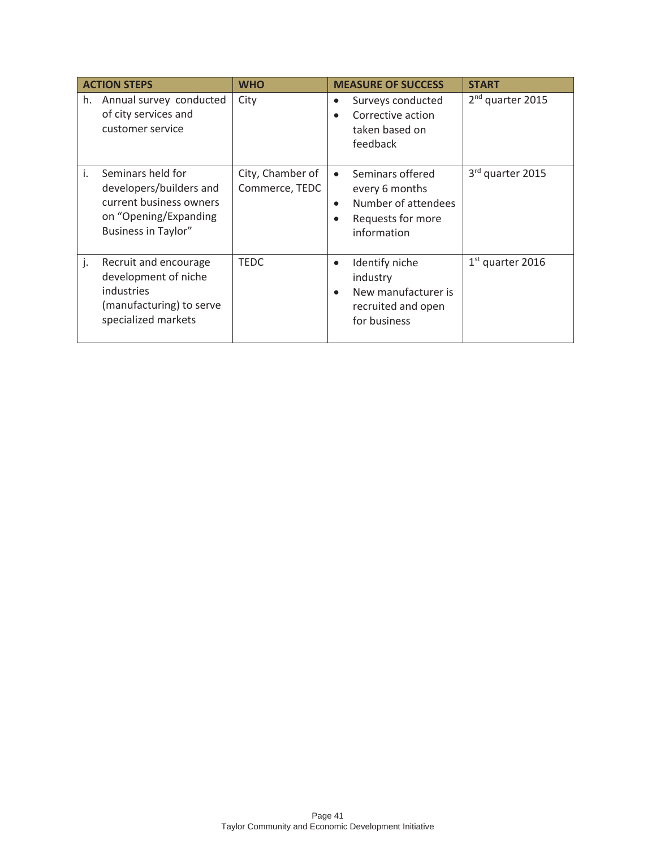|    | <b>ACTION STEPS</b>                                                                                                            | <b>WHO</b>                         | <b>MEASURE OF SUCCESS</b>                                                                                                            | <b>START</b>                 |
|----|--------------------------------------------------------------------------------------------------------------------------------|------------------------------------|--------------------------------------------------------------------------------------------------------------------------------------|------------------------------|
| h. | Annual survey conducted<br>of city services and<br>customer service                                                            | City                               | Surveys conducted<br>$\bullet$<br>Corrective action<br>$\bullet$<br>taken based on<br>feedback                                       | 2 <sup>nd</sup> quarter 2015 |
| i. | Seminars held for<br>developers/builders and<br>current business owners<br>on "Opening/Expanding<br><b>Business in Taylor"</b> | City, Chamber of<br>Commerce, TEDC | Seminars offered<br>$\bullet$<br>every 6 months<br>Number of attendees<br>$\bullet$<br>Requests for more<br>$\bullet$<br>information | 3rd quarter 2015             |
| j. | Recruit and encourage<br>development of niche<br>industries<br>(manufacturing) to serve<br>specialized markets                 | <b>TEDC</b>                        | Identify niche<br>$\bullet$<br>industry<br>New manufacturer is<br>$\bullet$<br>recruited and open<br>for business                    | $1st$ quarter 2016           |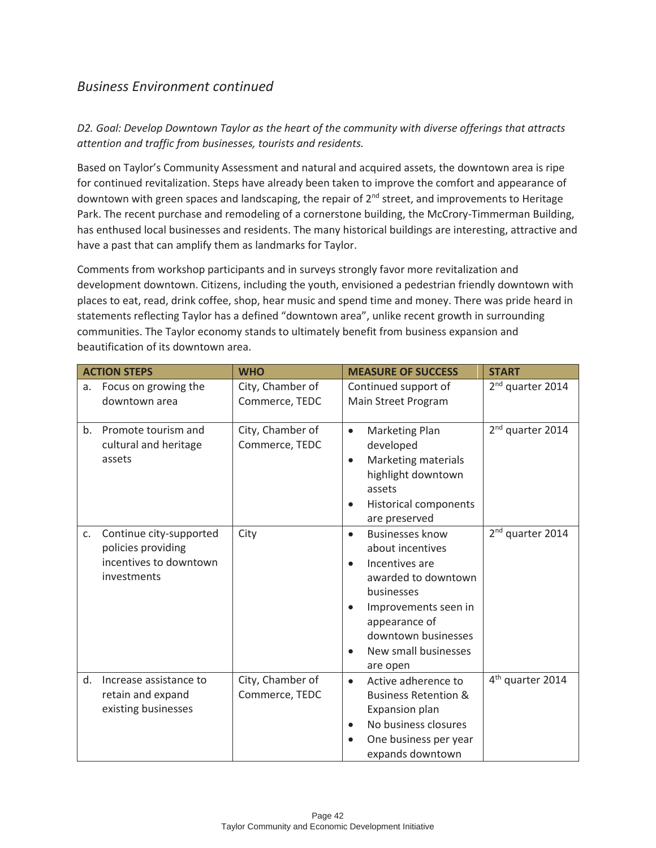## *Business Environment continued*

*D2. Goal: Develop Downtown Taylor as the heart of the community with diverse offerings that attracts attention and traffic from businesses, tourists and residents.* 

Based on Taylor's Community Assessment and natural and acquired assets, the downtown area is ripe for continued revitalization. Steps have already been taken to improve the comfort and appearance of downtown with green spaces and landscaping, the repair of  $2^{nd}$  street, and improvements to Heritage Park. The recent purchase and remodeling of a cornerstone building, the McCrory-Timmerman Building, has enthused local businesses and residents. The many historical buildings are interesting, attractive and have a past that can amplify them as landmarks for Taylor.

Comments from workshop participants and in surveys strongly favor more revitalization and development downtown. Citizens, including the youth, envisioned a pedestrian friendly downtown with places to eat, read, drink coffee, shop, hear music and spend time and money. There was pride heard in statements reflecting Taylor has a defined "downtown area", unlike recent growth in surrounding communities. The Taylor economy stands to ultimately benefit from business expansion and beautification of its downtown area.

|    | <b>ACTION STEPS</b>                                                                    | <b>WHO</b>                         | <b>MEASURE OF SUCCESS</b>                                                                                                                                                                             | <b>START</b>                 |
|----|----------------------------------------------------------------------------------------|------------------------------------|-------------------------------------------------------------------------------------------------------------------------------------------------------------------------------------------------------|------------------------------|
| a. | Focus on growing the<br>downtown area                                                  | City, Chamber of<br>Commerce, TEDC | Continued support of<br>Main Street Program                                                                                                                                                           | 2 <sup>nd</sup> quarter 2014 |
| b. | Promote tourism and<br>cultural and heritage<br>assets                                 | City, Chamber of<br>Commerce, TEDC | Marketing Plan<br>$\bullet$<br>developed<br>Marketing materials<br>$\bullet$<br>highlight downtown<br>assets<br><b>Historical components</b><br>$\bullet$<br>are preserved                            | 2 <sup>nd</sup> quarter 2014 |
| C. | Continue city-supported<br>policies providing<br>incentives to downtown<br>investments | City                               | <b>Businesses know</b><br>about incentives<br>Incentives are<br>awarded to downtown<br>businesses<br>Improvements seen in<br>appearance of<br>downtown businesses<br>New small businesses<br>are open | 2 <sup>nd</sup> quarter 2014 |
| d. | Increase assistance to<br>retain and expand<br>existing businesses                     | City, Chamber of<br>Commerce, TEDC | Active adherence to<br>$\bullet$<br><b>Business Retention &amp;</b><br><b>Expansion plan</b><br>No business closures<br>$\bullet$<br>One business per year<br>expands downtown                        | 4 <sup>th</sup> quarter 2014 |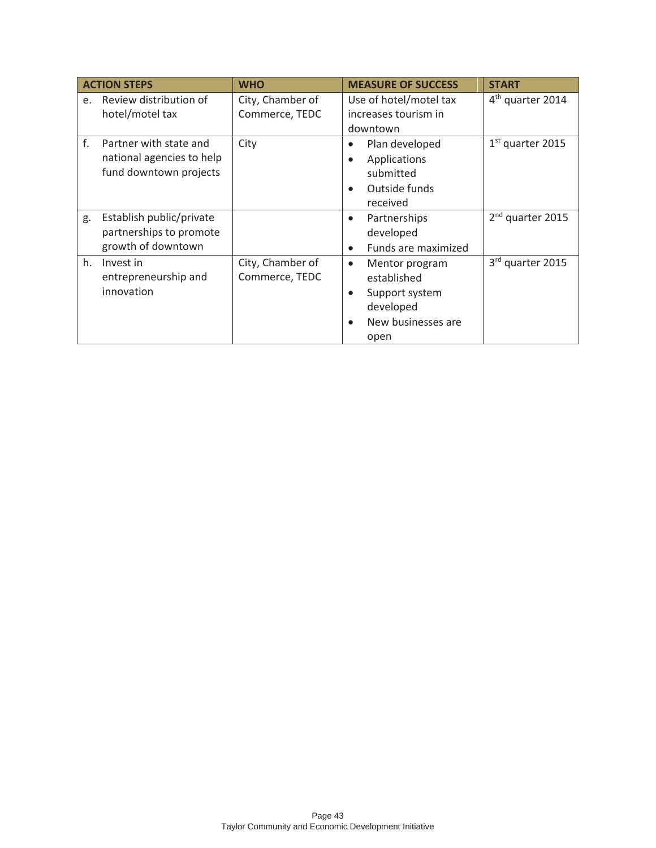| <b>ACTION STEPS</b>          |                           | <b>WHO</b>       | <b>MEASURE OF SUCCESS</b>   | <b>START</b>                 |
|------------------------------|---------------------------|------------------|-----------------------------|------------------------------|
| Review distribution of<br>e. |                           | City, Chamber of | Use of hotel/motel tax      | 4 <sup>th</sup> quarter 2014 |
| hotel/motel tax              |                           | Commerce, TEDC   | increases tourism in        |                              |
|                              |                           |                  | downtown                    |                              |
| f.<br>Partner with state and |                           | City             | Plan developed              | $1st$ quarter 2015           |
|                              | national agencies to help |                  | Applications                |                              |
|                              | fund downtown projects    |                  | submitted                   |                              |
|                              |                           |                  | Outside funds               |                              |
|                              |                           |                  | received                    |                              |
| g.                           | Establish public/private  |                  | Partnerships                | 2 <sup>nd</sup> quarter 2015 |
|                              | partnerships to promote   |                  | developed                   |                              |
| growth of downtown           |                           |                  | Funds are maximized         |                              |
| h.<br>Invest in              |                           | City, Chamber of | Mentor program<br>$\bullet$ | 3rd quarter 2015             |
| entrepreneurship and         |                           | Commerce, TEDC   | established                 |                              |
| innovation                   |                           |                  | Support system              |                              |
|                              |                           |                  | developed                   |                              |
|                              |                           |                  | New businesses are          |                              |
|                              |                           |                  | open                        |                              |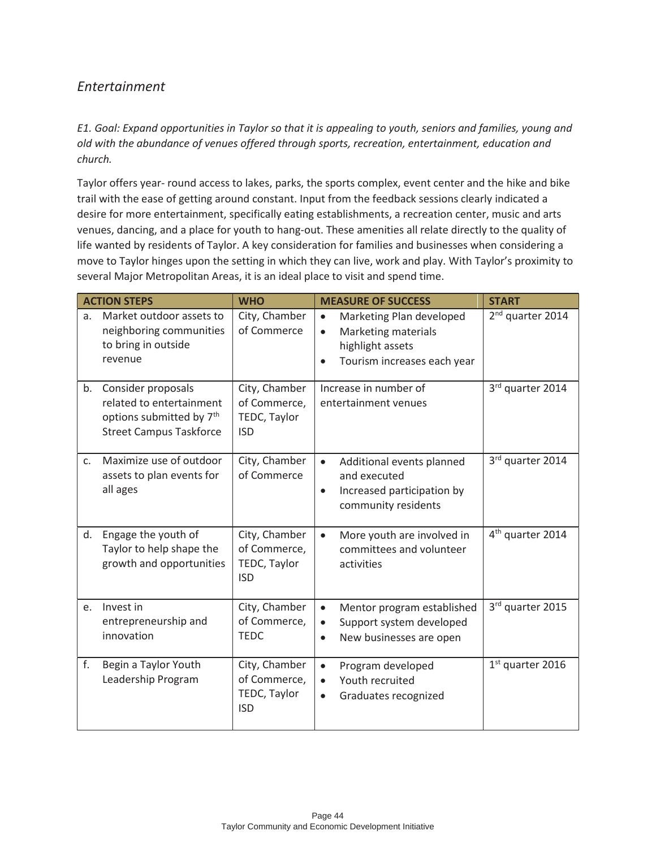## *Entertainment*

*E1. Goal: Expand opportunities in Taylor so that it is appealing to youth, seniors and families, young and old with the abundance of venues offered through sports, recreation, entertainment, education and church.* 

Taylor offers year- round access to lakes, parks, the sports complex, event center and the hike and bike trail with the ease of getting around constant. Input from the feedback sessions clearly indicated a desire for more entertainment, specifically eating establishments, a recreation center, music and arts venues, dancing, and a place for youth to hang-out. These amenities all relate directly to the quality of life wanted by residents of Taylor. A key consideration for families and businesses when considering a move to Taylor hinges upon the setting in which they can live, work and play. With Taylor's proximity to several Major Metropolitan Areas, it is an ideal place to visit and spend time.

|                | <b>ACTION STEPS</b>                                                                                                      | <b>WHO</b>                                                  | <b>MEASURE OF SUCCESS</b>                                                                                                                        | <b>START</b>                 |
|----------------|--------------------------------------------------------------------------------------------------------------------------|-------------------------------------------------------------|--------------------------------------------------------------------------------------------------------------------------------------------------|------------------------------|
| a.             | Market outdoor assets to<br>neighboring communities<br>to bring in outside<br>revenue                                    | City, Chamber<br>of Commerce                                | Marketing Plan developed<br>$\bullet$<br><b>Marketing materials</b><br>$\bullet$<br>highlight assets<br>Tourism increases each year<br>$\bullet$ | 2 <sup>nd</sup> quarter 2014 |
| b.             | Consider proposals<br>related to entertainment<br>options submitted by 7 <sup>th</sup><br><b>Street Campus Taskforce</b> | City, Chamber<br>of Commerce,<br>TEDC, Taylor<br><b>ISD</b> | Increase in number of<br>entertainment venues                                                                                                    | 3rd quarter 2014             |
| C <sub>1</sub> | Maximize use of outdoor<br>assets to plan events for<br>all ages                                                         | City, Chamber<br>of Commerce                                | Additional events planned<br>$\bullet$<br>and executed<br>Increased participation by<br>$\bullet$<br>community residents                         | 3rd quarter 2014             |
| d.             | Engage the youth of<br>Taylor to help shape the<br>growth and opportunities                                              | City, Chamber<br>of Commerce,<br>TEDC, Taylor<br><b>ISD</b> | More youth are involved in<br>$\bullet$<br>committees and volunteer<br>activities                                                                | 4 <sup>th</sup> quarter 2014 |
| e.             | Invest in<br>entrepreneurship and<br>innovation                                                                          | City, Chamber<br>of Commerce,<br><b>TEDC</b>                | Mentor program established<br>$\bullet$<br>Support system developed<br>$\bullet$<br>New businesses are open<br>$\bullet$                         | 3rd quarter 2015             |
| f.             | Begin a Taylor Youth<br>Leadership Program                                                                               | City, Chamber<br>of Commerce,<br>TEDC, Taylor<br><b>ISD</b> | Program developed<br>$\bullet$<br>Youth recruited<br>$\bullet$<br>Graduates recognized<br>$\bullet$                                              | $1st$ quarter 2016           |